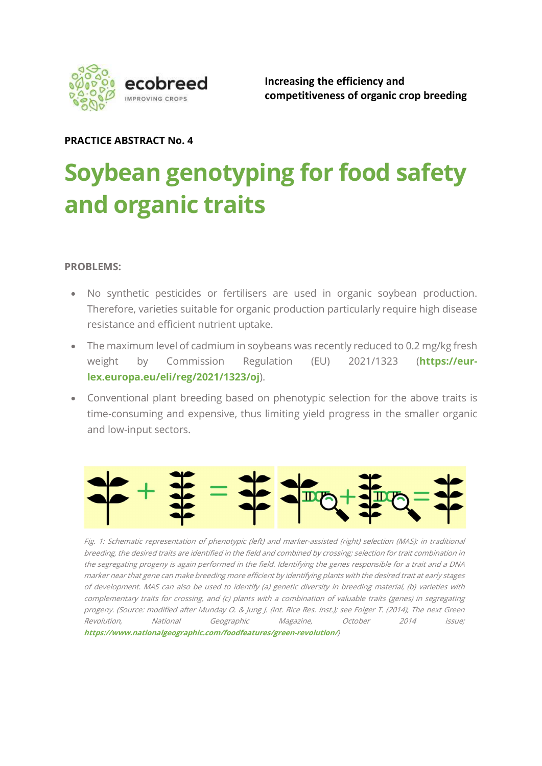

Increasing the efficiency and competitiveness of organic crop breeding

# PRACTICE ABSTRACT No. 4

# Soybean genotyping for food safety and organic traits

#### PROBLEMS:

- No synthetic pesticides or fertilisers are used in organic soybean production. Therefore, varieties suitable for organic production particularly require high disease resistance and efficient nutrient uptake.
- The maximum level of cadmium in soybeans was recently reduced to 0.2 mg/kg fresh weight by Commission Regulation (EU) 2021/1323 (https://eurlex.europa.eu/eli/reg/2021/1323/oj).
- Conventional plant breeding based on phenotypic selection for the above traits is time-consuming and expensive, thus limiting yield progress in the smaller organic and low-input sectors.



Fig. 1: Schematic representation of phenotypic (left) and marker-assisted (right) selection (MAS): in traditional breeding, the desired traits are identified in the field and combined by crossing; selection for trait combination in the segregating progeny is again performed in the field. Identifying the genes responsible for a trait and a DNA marker near that gene can make breeding more efficient by identifying plants with the desired trait at early stages of development. MAS can also be used to identify (a) genetic diversity in breeding material, (b) varieties with complementary traits for crossing, and (c) plants with a combination of valuable traits (genes) in segregating progeny. (Source: modified after Munday O. & Jung J. (Int. Rice Res. Inst.); see Folger T. (2014), The next Green Revolution, National Geographic Magazine, October 2014 issue; https://www.nationalgeographic.com/foodfeatures/green-revolution/)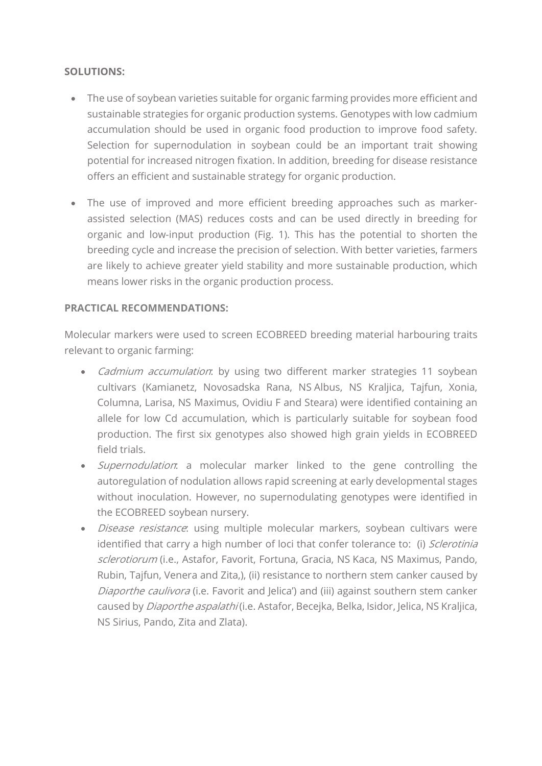### SOLUTIONS:

- The use of soybean varieties suitable for organic farming provides more efficient and sustainable strategies for organic production systems. Genotypes with low cadmium accumulation should be used in organic food production to improve food safety. Selection for supernodulation in soybean could be an important trait showing potential for increased nitrogen fixation. In addition, breeding for disease resistance offers an efficient and sustainable strategy for organic production.
- The use of improved and more efficient breeding approaches such as markerassisted selection (MAS) reduces costs and can be used directly in breeding for organic and low-input production (Fig. 1). This has the potential to shorten the breeding cycle and increase the precision of selection. With better varieties, farmers are likely to achieve greater yield stability and more sustainable production, which means lower risks in the organic production process.

### PRACTICAL RECOMMENDATIONS:

Molecular markers were used to screen ECOBREED breeding material harbouring traits relevant to organic farming:

- *Cadmium accumulation*: by using two different marker strategies 11 soybean cultivars (Kamianetz, Novosadska Rana, NS Albus, NS Kraljica, Tajfun, Xonia, Columna, Larisa, NS Maximus, Ovidiu F and Steara) were identified containing an allele for low Cd accumulation, which is particularly suitable for soybean food production. The first six genotypes also showed high grain yields in ECOBREED field trials.
- Supernodulation: a molecular marker linked to the gene controlling the autoregulation of nodulation allows rapid screening at early developmental stages without inoculation. However, no supernodulating genotypes were identified in the ECOBREED soybean nursery.
- Disease resistance: using multiple molecular markers, soybean cultivars were identified that carry a high number of loci that confer tolerance to: (i) Sclerotinia sclerotiorum (i.e., Astafor, Favorit, Fortuna, Gracia, NS Kaca, NS Maximus, Pando, Rubin, Tajfun, Venera and Zita,), (ii) resistance to northern stem canker caused by Diaporthe caulivora (i.e. Favorit and Jelica') and (iii) against southern stem canker caused by *Diaporthe aspalathi* (i.e. Astafor, Becejka, Belka, Isidor, Jelica, NS Kraljica, NS Sirius, Pando, Zita and Zlata).